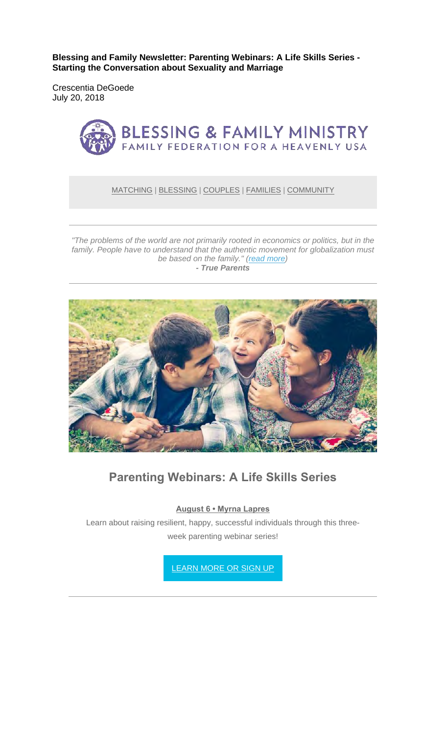**Blessing and Family Newsletter: Parenting Webinars: A Life Skills Series - Starting the Conversation about Sexuality and Marriage** 

Crescentia DeGoede July 20, 2018



#### MATCHING | BLESSING | COUPLES | FAMILIES | COMMUNITY

*"The problems of the world are not primarily rooted in economics or politics, but in the family. People have to understand that the authentic movement for globalization must be based on the family." (read more) - True Parents*



### **Parenting Webinars: A Life Skills Series**

**August 6 • Myrna Lapres**

Learn about raising resilient, happy, successful individuals through this threeweek parenting webinar series!

LEARN MORE OR SIGN UP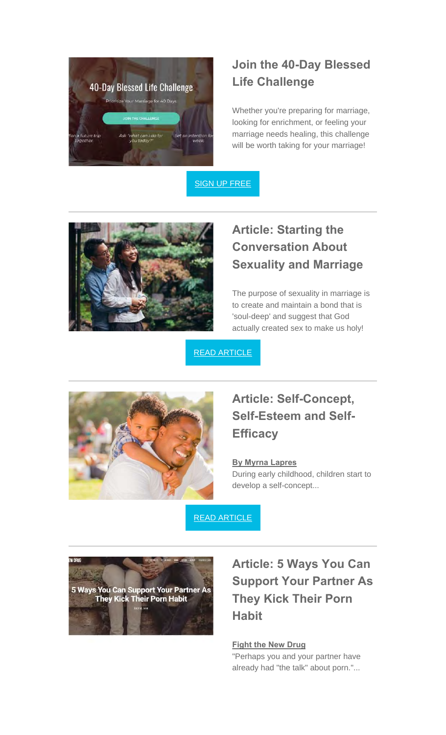

## **Join the 40-Day Blessed Life Challenge**

Whether you're preparing for marriage, looking for enrichment, or feeling your marriage needs healing, this challenge will be worth taking for your marriage!

SIGN UP FREE



# **Article: Starting the Conversation About Sexuality and Marriage**

The purpose of sexuality in marriage is to create and maintain a bond that is 'soul-deep' and suggest that God actually created sex to make us holy!

READ ARTICLE



### **Article: Self-Concept, Self-Esteem and Self-Efficacy**

#### **By Myrna Lapres**

During early childhood, children start to develop a self-concept...

READ ARTICLE



# **Article: 5 Ways You Can Support Your Partner As They Kick Their Porn Habit**

### **Fight the New Drug**

"Perhaps you and your partner have already had "the talk" about porn."...